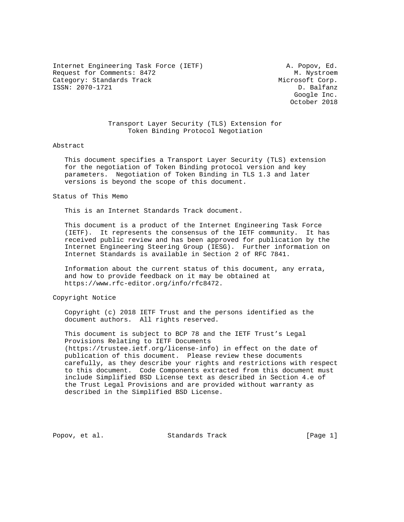Internet Engineering Task Force (IETF) A. Popov, Ed. Request for Comments: 8472 M. Nystroem Category: Standards Track Microsoft Corp. ISSN: 2070-1721 D. Balfanz

 Google Inc. October 2018

## Transport Layer Security (TLS) Extension for Token Binding Protocol Negotiation

### Abstract

 This document specifies a Transport Layer Security (TLS) extension for the negotiation of Token Binding protocol version and key parameters. Negotiation of Token Binding in TLS 1.3 and later versions is beyond the scope of this document.

#### Status of This Memo

This is an Internet Standards Track document.

 This document is a product of the Internet Engineering Task Force (IETF). It represents the consensus of the IETF community. It has received public review and has been approved for publication by the Internet Engineering Steering Group (IESG). Further information on Internet Standards is available in Section 2 of RFC 7841.

 Information about the current status of this document, any errata, and how to provide feedback on it may be obtained at https://www.rfc-editor.org/info/rfc8472.

Copyright Notice

 Copyright (c) 2018 IETF Trust and the persons identified as the document authors. All rights reserved.

 This document is subject to BCP 78 and the IETF Trust's Legal Provisions Relating to IETF Documents (https://trustee.ietf.org/license-info) in effect on the date of publication of this document. Please review these documents carefully, as they describe your rights and restrictions with respect to this document. Code Components extracted from this document must include Simplified BSD License text as described in Section 4.e of the Trust Legal Provisions and are provided without warranty as described in the Simplified BSD License.

Popov, et al. Standards Track [Page 1]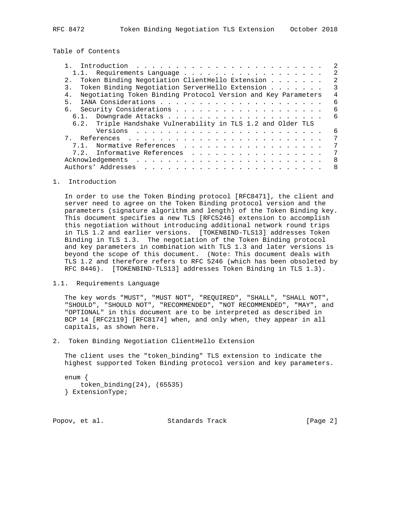Table of Contents

|                                                                     | -2 |
|---------------------------------------------------------------------|----|
|                                                                     |    |
| Token Binding Negotiation ClientHello Extension                     | 2  |
| Token Binding Negotiation ServerHello Extension<br>3.               | 3  |
| Negotiating Token Binding Protocol Version and Key Parameters<br>4. | 4  |
| 5 <sub>1</sub>                                                      | 6  |
|                                                                     | 6  |
|                                                                     | 6  |
| 6.2. Triple Handshake Vulnerability in TLS 1.2 and Older TLS        |    |
|                                                                     | 6  |
|                                                                     |    |
| Normative References<br>7.1.                                        | 7  |
| 7.2. Informative References                                         | 7  |
|                                                                     | 8  |
|                                                                     | 8  |

## 1. Introduction

 In order to use the Token Binding protocol [RFC8471], the client and server need to agree on the Token Binding protocol version and the parameters (signature algorithm and length) of the Token Binding key. This document specifies a new TLS [RFC5246] extension to accomplish this negotiation without introducing additional network round trips in TLS 1.2 and earlier versions. [TOKENBIND-TLS13] addresses Token Binding in TLS 1.3. The negotiation of the Token Binding protocol and key parameters in combination with TLS 1.3 and later versions is beyond the scope of this document. (Note: This document deals with TLS 1.2 and therefore refers to RFC 5246 (which has been obsoleted by RFC 8446). [TOKENBIND-TLS13] addresses Token Binding in TLS 1.3).

### 1.1. Requirements Language

 The key words "MUST", "MUST NOT", "REQUIRED", "SHALL", "SHALL NOT", "SHOULD", "SHOULD NOT", "RECOMMENDED", "NOT RECOMMENDED", "MAY", and "OPTIONAL" in this document are to be interpreted as described in BCP 14 [RFC2119] [RFC8174] when, and only when, they appear in all capitals, as shown here.

2. Token Binding Negotiation ClientHello Extension

 The client uses the "token\_binding" TLS extension to indicate the highest supported Token Binding protocol version and key parameters.

```
 enum {
   token_binding(24), (65535)
} ExtensionType;
```
Popov, et al. Standards Track [Page 2]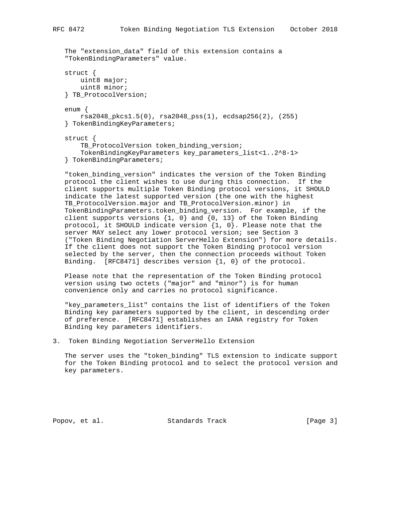```
 The "extension_data" field of this extension contains a
"TokenBindingParameters" value.
struct {
   uint8 major;
   uint8 minor;
} TB_ProtocolVersion;
enum {
   rsa2048_pkcs1.5(0), rsa2048_pss(1), ecdsap256(2), (255)
} TokenBindingKeyParameters;
struct {
   TB_ProtocolVersion token_binding_version;
    TokenBindingKeyParameters key_parameters_list<1..2^8-1>
} TokenBindingParameters;
```
 "token\_binding\_version" indicates the version of the Token Binding protocol the client wishes to use during this connection. If the client supports multiple Token Binding protocol versions, it SHOULD indicate the latest supported version (the one with the highest TB\_ProtocolVersion.major and TB\_ProtocolVersion.minor) in TokenBindingParameters.token\_binding\_version. For example, if the client supports versions  $\{1, 0\}$  and  $\{0, 13\}$  of the Token Binding protocol, it SHOULD indicate version  $\{1, 0\}$ . Please note that the server MAY select any lower protocol version; see Section 3 ("Token Binding Negotiation ServerHello Extension") for more details. If the client does not support the Token Binding protocol version selected by the server, then the connection proceeds without Token Binding. [RFC8471] describes version {1, 0} of the protocol.

 Please note that the representation of the Token Binding protocol version using two octets ("major" and "minor") is for human convenience only and carries no protocol significance.

 "key\_parameters\_list" contains the list of identifiers of the Token Binding key parameters supported by the client, in descending order of preference. [RFC8471] establishes an IANA registry for Token Binding key parameters identifiers.

3. Token Binding Negotiation ServerHello Extension

 The server uses the "token\_binding" TLS extension to indicate support for the Token Binding protocol and to select the protocol version and key parameters.

Popov, et al. Standards Track [Page 3]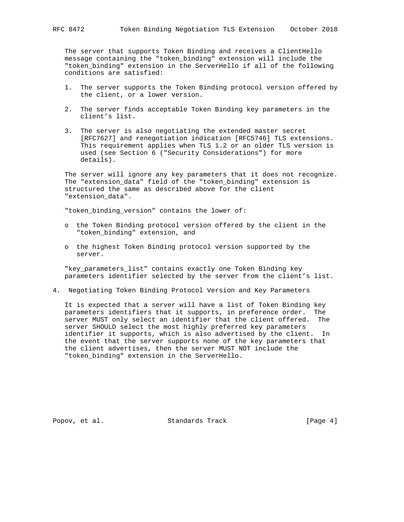The server that supports Token Binding and receives a ClientHello message containing the "token\_binding" extension will include the "token\_binding" extension in the ServerHello if all of the following conditions are satisfied:

- 1. The server supports the Token Binding protocol version offered by the client, or a lower version.
- 2. The server finds acceptable Token Binding key parameters in the client's list.
- 3. The server is also negotiating the extended master secret [RFC7627] and renegotiation indication [RFC5746] TLS extensions. This requirement applies when TLS 1.2 or an older TLS version is used (see Section 6 ("Security Considerations") for more details).

 The server will ignore any key parameters that it does not recognize. The "extension\_data" field of the "token\_binding" extension is structured the same as described above for the client "extension\_data".

"token\_binding\_version" contains the lower of:

- o the Token Binding protocol version offered by the client in the "token\_binding" extension, and
- o the highest Token Binding protocol version supported by the server.

 "key\_parameters\_list" contains exactly one Token Binding key parameters identifier selected by the server from the client's list.

4. Negotiating Token Binding Protocol Version and Key Parameters

 It is expected that a server will have a list of Token Binding key parameters identifiers that it supports, in preference order. The server MUST only select an identifier that the client offered. The server SHOULD select the most highly preferred key parameters identifier it supports, which is also advertised by the client. In the event that the server supports none of the key parameters that the client advertises, then the server MUST NOT include the "token\_binding" extension in the ServerHello.

Popov, et al. Standards Track [Page 4]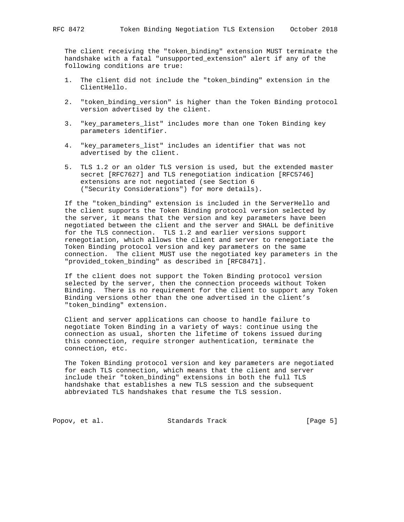The client receiving the "token\_binding" extension MUST terminate the handshake with a fatal "unsupported\_extension" alert if any of the following conditions are true:

- 1. The client did not include the "token\_binding" extension in the ClientHello.
- 2. "token\_binding\_version" is higher than the Token Binding protocol version advertised by the client.
- 3. "key\_parameters\_list" includes more than one Token Binding key parameters identifier.
- 4. "key\_parameters\_list" includes an identifier that was not advertised by the client.
- 5. TLS 1.2 or an older TLS version is used, but the extended master secret [RFC7627] and TLS renegotiation indication [RFC5746] extensions are not negotiated (see Section 6 ("Security Considerations") for more details).

 If the "token\_binding" extension is included in the ServerHello and the client supports the Token Binding protocol version selected by the server, it means that the version and key parameters have been negotiated between the client and the server and SHALL be definitive for the TLS connection. TLS 1.2 and earlier versions support renegotiation, which allows the client and server to renegotiate the Token Binding protocol version and key parameters on the same connection. The client MUST use the negotiated key parameters in the "provided\_token\_binding" as described in [RFC8471].

 If the client does not support the Token Binding protocol version selected by the server, then the connection proceeds without Token Binding. There is no requirement for the client to support any Token Binding versions other than the one advertised in the client's "token\_binding" extension.

 Client and server applications can choose to handle failure to negotiate Token Binding in a variety of ways: continue using the connection as usual, shorten the lifetime of tokens issued during this connection, require stronger authentication, terminate the connection, etc.

 The Token Binding protocol version and key parameters are negotiated for each TLS connection, which means that the client and server include their "token\_binding" extensions in both the full TLS handshake that establishes a new TLS session and the subsequent abbreviated TLS handshakes that resume the TLS session.

Popov, et al. Standards Track [Page 5]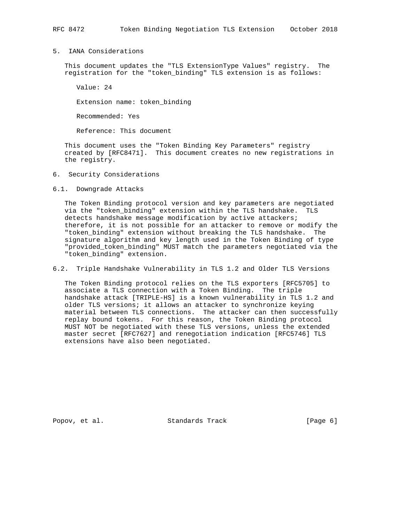# 5. IANA Considerations

 This document updates the "TLS ExtensionType Values" registry. The registration for the "token\_binding" TLS extension is as follows:

Value: 24

Extension name: token\_binding

Recommended: Yes

Reference: This document

 This document uses the "Token Binding Key Parameters" registry created by [RFC8471]. This document creates no new registrations in the registry.

- 6. Security Considerations
- 6.1. Downgrade Attacks

 The Token Binding protocol version and key parameters are negotiated via the "token\_binding" extension within the TLS handshake. TLS detects handshake message modification by active attackers; therefore, it is not possible for an attacker to remove or modify the "token\_binding" extension without breaking the TLS handshake. The signature algorithm and key length used in the Token Binding of type "provided\_token\_binding" MUST match the parameters negotiated via the "token\_binding" extension.

6.2. Triple Handshake Vulnerability in TLS 1.2 and Older TLS Versions

 The Token Binding protocol relies on the TLS exporters [RFC5705] to associate a TLS connection with a Token Binding. The triple handshake attack [TRIPLE-HS] is a known vulnerability in TLS 1.2 and older TLS versions; it allows an attacker to synchronize keying material between TLS connections. The attacker can then successfully replay bound tokens. For this reason, the Token Binding protocol MUST NOT be negotiated with these TLS versions, unless the extended master secret [RFC7627] and renegotiation indication [RFC5746] TLS extensions have also been negotiated.

Popov, et al. Standards Track [Page 6]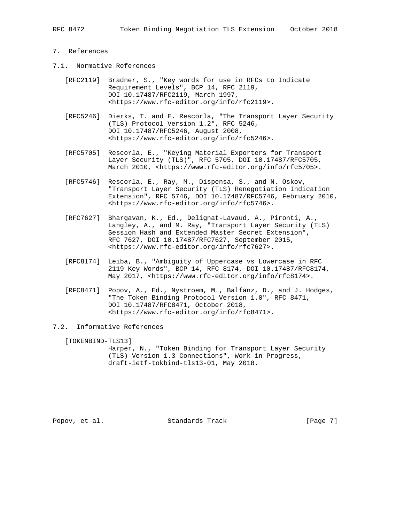## 7. References

- 7.1. Normative References
	- [RFC2119] Bradner, S., "Key words for use in RFCs to Indicate Requirement Levels", BCP 14, RFC 2119, DOI 10.17487/RFC2119, March 1997, <https://www.rfc-editor.org/info/rfc2119>.
	- [RFC5246] Dierks, T. and E. Rescorla, "The Transport Layer Security (TLS) Protocol Version 1.2", RFC 5246, DOI 10.17487/RFC5246, August 2008, <https://www.rfc-editor.org/info/rfc5246>.
	- [RFC5705] Rescorla, E., "Keying Material Exporters for Transport Layer Security (TLS)", RFC 5705, DOI 10.17487/RFC5705, March 2010, <https://www.rfc-editor.org/info/rfc5705>.
	- [RFC5746] Rescorla, E., Ray, M., Dispensa, S., and N. Oskov, "Transport Layer Security (TLS) Renegotiation Indication Extension", RFC 5746, DOI 10.17487/RFC5746, February 2010, <https://www.rfc-editor.org/info/rfc5746>.
	- [RFC7627] Bhargavan, K., Ed., Delignat-Lavaud, A., Pironti, A., Langley, A., and M. Ray, "Transport Layer Security (TLS) Session Hash and Extended Master Secret Extension", RFC 7627, DOI 10.17487/RFC7627, September 2015, <https://www.rfc-editor.org/info/rfc7627>.
	- [RFC8174] Leiba, B., "Ambiguity of Uppercase vs Lowercase in RFC 2119 Key Words", BCP 14, RFC 8174, DOI 10.17487/RFC8174, May 2017, <https://www.rfc-editor.org/info/rfc8174>.
	- [RFC8471] Popov, A., Ed., Nystroem, M., Balfanz, D., and J. Hodges, "The Token Binding Protocol Version 1.0", RFC 8471, DOI 10.17487/RFC8471, October 2018, <https://www.rfc-editor.org/info/rfc8471>.
- 7.2. Informative References

[TOKENBIND-TLS13]

 Harper, N., "Token Binding for Transport Layer Security (TLS) Version 1.3 Connections", Work in Progress, draft-ietf-tokbind-tls13-01, May 2018.

Popov, et al. Standards Track [Page 7]